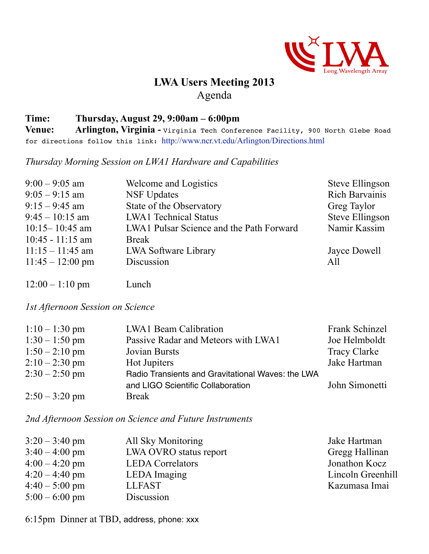

## **LWA Users Meeting 2013** Agenda

## **Time: Thursday, August 29, 9:00am – 6:00pm**

**Venue: Arlington, Virginia -** Virginia Tech Conference Facility, 900 North Glebe Road for directions follow this link: <http://www.ncr.vt.edu/Arlington/Directions.html>

*Thursday Morning Session on LWA1 Hardware and Capabilities*

| $9:00 - 9:05$ am           | Welcome and Logistics                    | Steve Ellingson        |
|----------------------------|------------------------------------------|------------------------|
| $9:05 - 9:15$ am           | <b>NSF Updates</b>                       | <b>Rich Barvainis</b>  |
| $9:15 - 9:45$ am           | State of the Observatory                 | Greg Taylor            |
| $9:45 - 10:15$ am          | <b>LWA1</b> Technical Status             | <b>Steve Ellingson</b> |
| $10:15 - 10:45$ am         | LWA1 Pulsar Science and the Path Forward | Namir Kassim           |
| $10:45 - 11:15$ am         | <b>Break</b>                             |                        |
| $11:15 - 11:45$ am         | LWA Software Library                     | Jayce Dowell           |
| $11:45 - 12:00 \text{ pm}$ | Discussion                               | All                    |
|                            |                                          |                        |

12:00 – 1:10 pm Lunch

*1st Afternoon Session on Science*

| $1:10 - 1:30$ pm | <b>LWA1</b> Beam Calibration                      | Frank Schinzel      |
|------------------|---------------------------------------------------|---------------------|
| $1:30 - 1:50$ pm | Passive Radar and Meteors with LWA1               | Joe Helmboldt       |
| $1:50 - 2:10$ pm | <b>Jovian Bursts</b>                              | <b>Tracy Clarke</b> |
| $2:10-2:30$ pm   | Hot Jupiters                                      | Jake Hartman        |
| $2:30 - 2:50$ pm | Radio Transients and Gravitational Waves: the LWA |                     |
|                  | and LIGO Scientific Collaboration                 | John Simonetti      |
| $2:50 - 3:20$ pm | <b>Break</b>                                      |                     |

*2nd Afternoon Session on Science and Future Instruments*

| $3:20 - 3:40$ pm | All Sky Monitoring      | Jake Hartman      |
|------------------|-------------------------|-------------------|
| $3:40 - 4:00$ pm | LWA OVRO status report  | Gregg Hallinan    |
| $4:00 - 4:20$ pm | <b>LEDA</b> Correlators | Jonathon Kocz     |
| $4:20 - 4:40$ pm | LEDA Imaging            | Lincoln Greenhill |
| $4:40 - 5:00$ pm | <b>LLFAST</b>           | Kazumasa Imai     |
| $5:00 - 6:00$ pm | Discussion              |                   |

6:15pm Dinner at TBD, address, phone: xxx